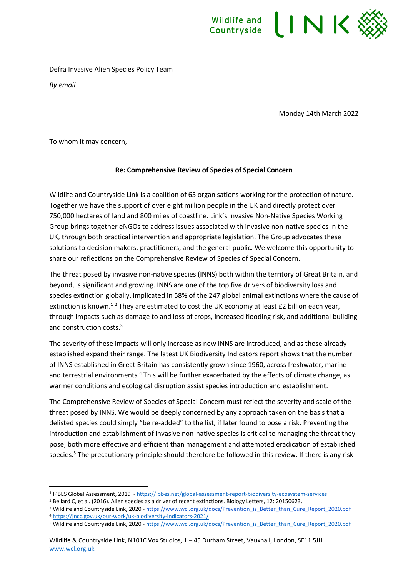

Defra Invasive Alien Species Policy Team

*By email*

Monday 14th March 2022

To whom it may concern,

## **Re: Comprehensive Review of Species of Special Concern**

Wildlife and Countryside Link is a coalition of 65 organisations working for the protection of nature. Together we have the support of over eight million people in the UK and directly protect over 750,000 hectares of land and 800 miles of coastline. Link's Invasive Non-Native Species Working Group brings together eNGOs to address issues associated with invasive non-native species in the UK, through both practical intervention and appropriate legislation. The Group advocates these solutions to decision makers, practitioners, and the general public. We welcome this opportunity to share our reflections on the Comprehensive Review of Species of Special Concern.

The threat posed by invasive non-native species (INNS) both within the territory of Great Britain, and beyond, is significant and growing. INNS are one of the top five drivers of biodiversity loss and species extinction globally, implicated in 58% of the 247 global animal extinctions where the cause of extinction is known.<sup>12</sup> They are estimated to cost the UK economy at least  $E2$  billion each year, through impacts such as damage to and loss of crops, increased flooding risk, and additional building and construction costs.<sup>3</sup>

The severity of these impacts will only increase as new INNS are introduced, and as those already established expand their range. The latest UK Biodiversity Indicators report shows that the number of INNS established in Great Britain has consistently grown since 1960, across freshwater, marine and terrestrial environments.<sup>4</sup> This will be further exacerbated by the effects of climate change, as warmer conditions and ecological disruption assist species introduction and establishment.

The Comprehensive Review of Species of Special Concern must reflect the severity and scale of the threat posed by INNS. We would be deeply concerned by any approach taken on the basis that a delisted species could simply "be re-added" to the list, if later found to pose a risk. Preventing the introduction and establishment of invasive non-native species is critical to managing the threat they pose, both more effective and efficient than management and attempted eradication of established species.<sup>5</sup> The precautionary principle should therefore be followed in this review. If there is any risk

<sup>5</sup> Wildlife and Countryside Link, 2020 - [https://www.wcl.org.uk/docs/Prevention\\_is\\_Better\\_than\\_Cure\\_Report\\_2020.pdf](https://www.wcl.org.uk/docs/Prevention_is_Better_than_Cure_Report_2020.pdf)

<sup>1</sup> IPBES Global Assessment, 2019 - <https://ipbes.net/global-assessment-report-biodiversity-ecosystem-services>

<sup>2</sup> Bellard C, et al. (2016). Alien species as a driver of recent extinctions. Biology Letters, 12: 20150623.

<sup>&</sup>lt;sup>3</sup> Wildlife and Countryside Link, 2020 - [https://www.wcl.org.uk/docs/Prevention\\_is\\_Better\\_than\\_Cure\\_Report\\_2020.pdf](https://www.wcl.org.uk/docs/Prevention_is_Better_than_Cure_Report_2020.pdf) <sup>4</sup> <https://jncc.gov.uk/our-work/uk-biodiversity-indicators-2021/>